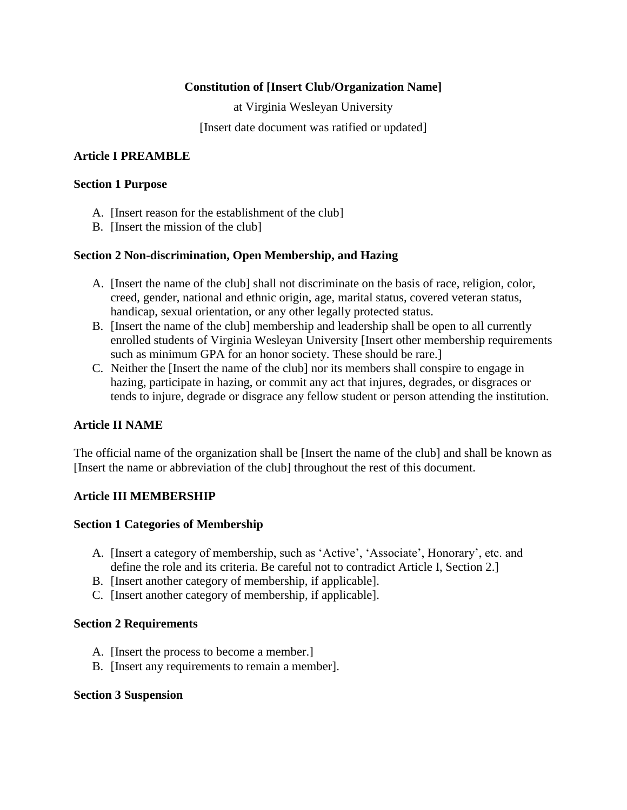# **Constitution of [Insert Club/Organization Name]**

at Virginia Wesleyan University

[Insert date document was ratified or updated]

# **Article I PREAMBLE**

#### **Section 1 Purpose**

- A. [Insert reason for the establishment of the club]
- B. [Insert the mission of the club]

# **Section 2 Non-discrimination, Open Membership, and Hazing**

- A. [Insert the name of the club] shall not discriminate on the basis of race, religion, color, creed, gender, national and ethnic origin, age, marital status, covered veteran status, handicap, sexual orientation, or any other legally protected status.
- B. [Insert the name of the club] membership and leadership shall be open to all currently enrolled students of Virginia Wesleyan University [Insert other membership requirements such as minimum GPA for an honor society. These should be rare.]
- C. Neither the [Insert the name of the club] nor its members shall conspire to engage in hazing, participate in hazing, or commit any act that injures, degrades, or disgraces or tends to injure, degrade or disgrace any fellow student or person attending the institution.

# **Article II NAME**

The official name of the organization shall be [Insert the name of the club] and shall be known as [Insert the name or abbreviation of the club] throughout the rest of this document.

## **Article III MEMBERSHIP**

## **Section 1 Categories of Membership**

- A. [Insert a category of membership, such as 'Active', 'Associate', Honorary', etc. and define the role and its criteria. Be careful not to contradict Article I, Section 2.]
- B. [Insert another category of membership, if applicable].
- C. [Insert another category of membership, if applicable].

## **Section 2 Requirements**

- A. [Insert the process to become a member.]
- B. [Insert any requirements to remain a member].

## **Section 3 Suspension**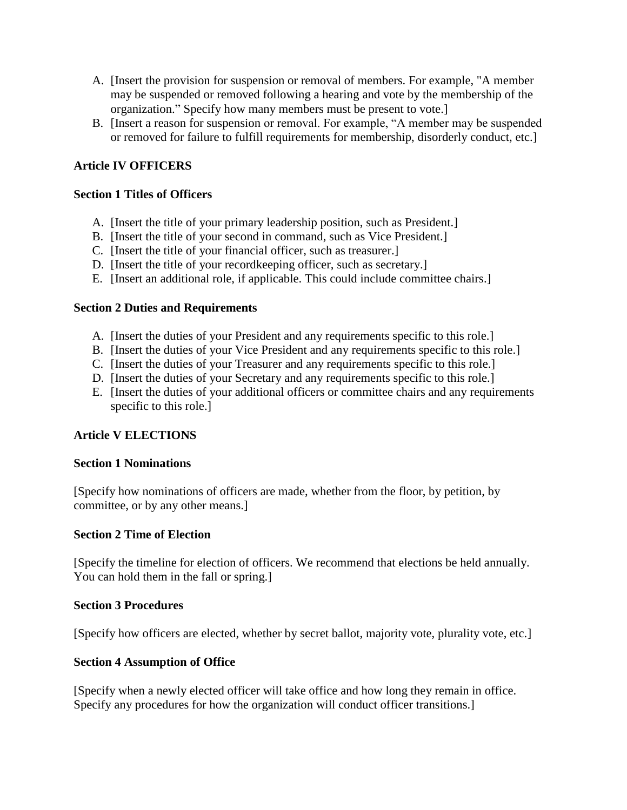- A. [Insert the provision for suspension or removal of members. For example, "A member may be suspended or removed following a hearing and vote by the membership of the organization." Specify how many members must be present to vote.]
- B. [Insert a reason for suspension or removal. For example, "A member may be suspended or removed for failure to fulfill requirements for membership, disorderly conduct, etc.]

# **Article IV OFFICERS**

# **Section 1 Titles of Officers**

- A. [Insert the title of your primary leadership position, such as President.]
- B. [Insert the title of your second in command, such as Vice President.]
- C. [Insert the title of your financial officer, such as treasurer.]
- D. [Insert the title of your recordkeeping officer, such as secretary.]
- E. [Insert an additional role, if applicable. This could include committee chairs.]

## **Section 2 Duties and Requirements**

- A. [Insert the duties of your President and any requirements specific to this role.]
- B. [Insert the duties of your Vice President and any requirements specific to this role.]
- C. [Insert the duties of your Treasurer and any requirements specific to this role.]
- D. [Insert the duties of your Secretary and any requirements specific to this role.]
- E. [Insert the duties of your additional officers or committee chairs and any requirements specific to this role.]

## **Article V ELECTIONS**

## **Section 1 Nominations**

[Specify how nominations of officers are made, whether from the floor, by petition, by committee, or by any other means.]

## **Section 2 Time of Election**

[Specify the timeline for election of officers. We recommend that elections be held annually. You can hold them in the fall or spring.]

## **Section 3 Procedures**

[Specify how officers are elected, whether by secret ballot, majority vote, plurality vote, etc.]

## **Section 4 Assumption of Office**

[Specify when a newly elected officer will take office and how long they remain in office. Specify any procedures for how the organization will conduct officer transitions.]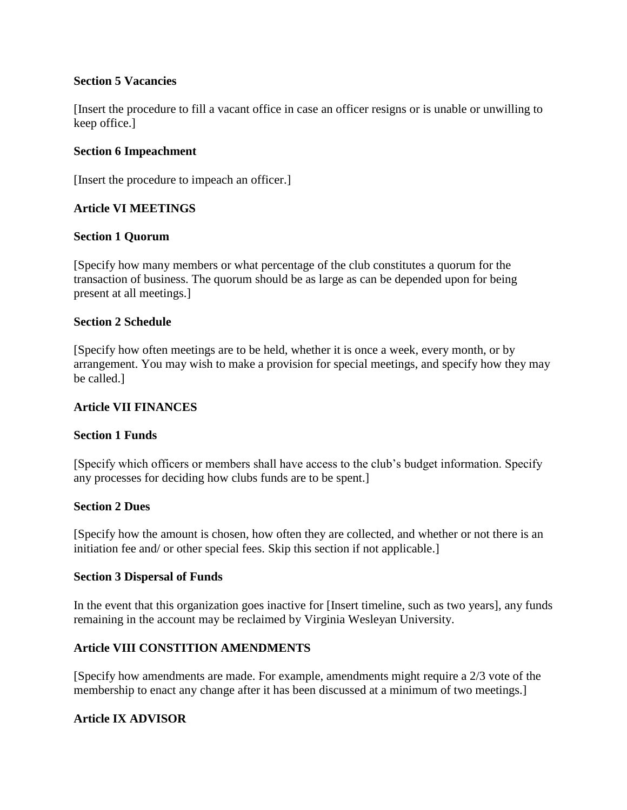# **Section 5 Vacancies**

[Insert the procedure to fill a vacant office in case an officer resigns or is unable or unwilling to keep office.]

# **Section 6 Impeachment**

[Insert the procedure to impeach an officer.]

# **Article VI MEETINGS**

# **Section 1 Quorum**

[Specify how many members or what percentage of the club constitutes a quorum for the transaction of business. The quorum should be as large as can be depended upon for being present at all meetings.]

## **Section 2 Schedule**

[Specify how often meetings are to be held, whether it is once a week, every month, or by arrangement. You may wish to make a provision for special meetings, and specify how they may be called.]

# **Article VII FINANCES**

## **Section 1 Funds**

[Specify which officers or members shall have access to the club's budget information. Specify any processes for deciding how clubs funds are to be spent.]

# **Section 2 Dues**

[Specify how the amount is chosen, how often they are collected, and whether or not there is an initiation fee and/ or other special fees. Skip this section if not applicable.]

## **Section 3 Dispersal of Funds**

In the event that this organization goes inactive for [Insert timeline, such as two years], any funds remaining in the account may be reclaimed by Virginia Wesleyan University.

# **Article VIII CONSTITION AMENDMENTS**

[Specify how amendments are made. For example, amendments might require a 2/3 vote of the membership to enact any change after it has been discussed at a minimum of two meetings.]

# **Article IX ADVISOR**